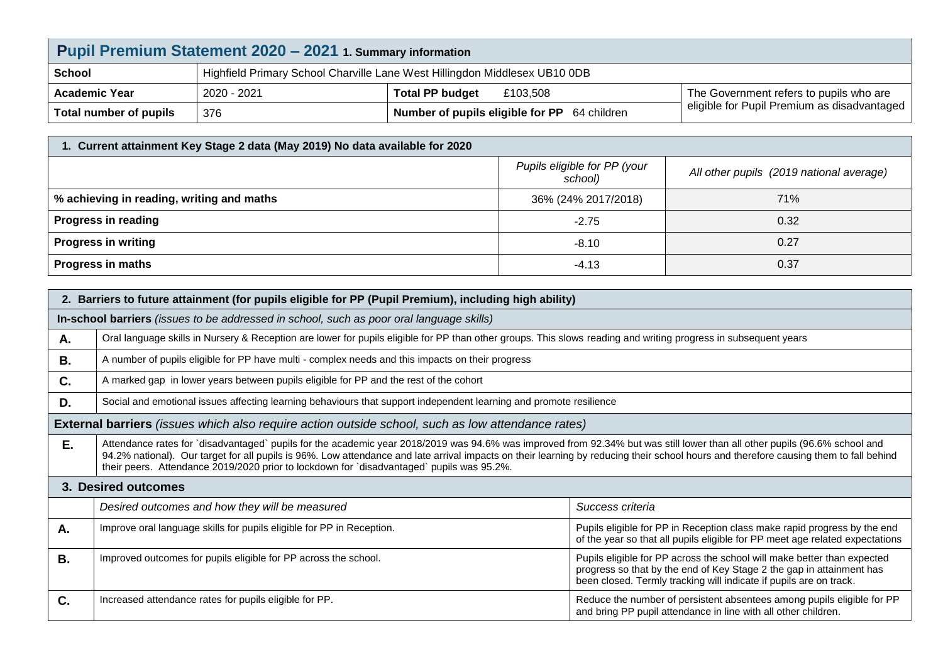| Pupil Premium Statement 2020 - 2021 1. Summary information |                                                                            |                                                     |                                             |  |  |
|------------------------------------------------------------|----------------------------------------------------------------------------|-----------------------------------------------------|---------------------------------------------|--|--|
| <b>School</b>                                              | Highfield Primary School Charville Lane West Hillingdon Middlesex UB10 0DB |                                                     |                                             |  |  |
| <b>Academic Year</b>                                       | 2020 - 2021                                                                | <b>Total PP budget</b><br>£103,508                  | The Government refers to pupils who are     |  |  |
| Total number of pupils                                     | 376                                                                        | <b>Number of pupils eligible for PP</b> 64 children | eligible for Pupil Premium as disadvantaged |  |  |

| 1. Current attainment Key Stage 2 data (May 2019) No data available for 2020 |                                         |                                          |  |  |  |
|------------------------------------------------------------------------------|-----------------------------------------|------------------------------------------|--|--|--|
|                                                                              | Pupils eligible for PP (your<br>school) | All other pupils (2019 national average) |  |  |  |
| % achieving in reading, writing and maths                                    | 36% (24% 2017/2018)                     | 71%                                      |  |  |  |
| <b>Progress in reading</b>                                                   | $-2.75$                                 | 0.32                                     |  |  |  |
| <b>Progress in writing</b>                                                   | $-8.10$                                 | 0.27                                     |  |  |  |
| <b>Progress in maths</b>                                                     | -4.13                                   | 0.37                                     |  |  |  |

| 2. Barriers to future attainment (for pupils eligible for PP (Pupil Premium), including high ability) |                                                                                                                                                                                                                                                                                                                                                                                                                                                                  |                                                                                                                                                                                                                       |  |  |  |
|-------------------------------------------------------------------------------------------------------|------------------------------------------------------------------------------------------------------------------------------------------------------------------------------------------------------------------------------------------------------------------------------------------------------------------------------------------------------------------------------------------------------------------------------------------------------------------|-----------------------------------------------------------------------------------------------------------------------------------------------------------------------------------------------------------------------|--|--|--|
|                                                                                                       | In-school barriers (issues to be addressed in school, such as poor oral language skills)                                                                                                                                                                                                                                                                                                                                                                         |                                                                                                                                                                                                                       |  |  |  |
| А.                                                                                                    | Oral language skills in Nursery & Reception are lower for pupils eligible for PP than other groups. This slows reading and writing progress in subsequent years                                                                                                                                                                                                                                                                                                  |                                                                                                                                                                                                                       |  |  |  |
| В.                                                                                                    | A number of pupils eligible for PP have multi - complex needs and this impacts on their progress                                                                                                                                                                                                                                                                                                                                                                 |                                                                                                                                                                                                                       |  |  |  |
| C.                                                                                                    | A marked gap in lower years between pupils eligible for PP and the rest of the cohort                                                                                                                                                                                                                                                                                                                                                                            |                                                                                                                                                                                                                       |  |  |  |
| D.                                                                                                    | Social and emotional issues affecting learning behaviours that support independent learning and promote resilience                                                                                                                                                                                                                                                                                                                                               |                                                                                                                                                                                                                       |  |  |  |
|                                                                                                       | <b>External barriers</b> (issues which also require action outside school, such as low attendance rates)                                                                                                                                                                                                                                                                                                                                                         |                                                                                                                                                                                                                       |  |  |  |
| E.                                                                                                    | Attendance rates for `disadvantaged` pupils for the academic year 2018/2019 was 94.6% was improved from 92.34% but was still lower than all other pupils (96.6% school and<br>94.2% national). Our target for all pupils is 96%. Low attendance and late arrival impacts on their learning by reducing their school hours and therefore causing them to fall behind<br>their peers. Attendance 2019/2020 prior to lockdown for `disadvantaged` pupils was 95.2%. |                                                                                                                                                                                                                       |  |  |  |
| 3. Desired outcomes                                                                                   |                                                                                                                                                                                                                                                                                                                                                                                                                                                                  |                                                                                                                                                                                                                       |  |  |  |
|                                                                                                       | Desired outcomes and how they will be measured                                                                                                                                                                                                                                                                                                                                                                                                                   | Success criteria                                                                                                                                                                                                      |  |  |  |
| Α.                                                                                                    | Improve oral language skills for pupils eligible for PP in Reception.                                                                                                                                                                                                                                                                                                                                                                                            | Pupils eligible for PP in Reception class make rapid progress by the end<br>of the year so that all pupils eligible for PP meet age related expectations                                                              |  |  |  |
| <b>B.</b>                                                                                             | Improved outcomes for pupils eligible for PP across the school.                                                                                                                                                                                                                                                                                                                                                                                                  | Pupils eligible for PP across the school will make better than expected<br>progress so that by the end of Key Stage 2 the gap in attainment has<br>been closed. Termly tracking will indicate if pupils are on track. |  |  |  |
| C.                                                                                                    | Increased attendance rates for pupils eligible for PP.                                                                                                                                                                                                                                                                                                                                                                                                           | Reduce the number of persistent absentees among pupils eligible for PP<br>and bring PP pupil attendance in line with all other children.                                                                              |  |  |  |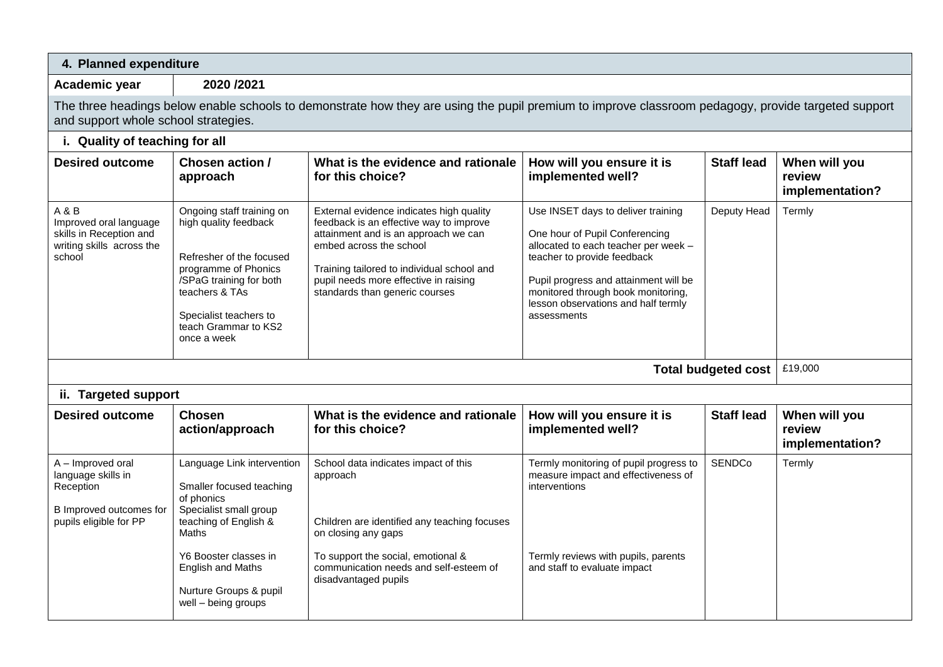| 4. Planned expenditure                                                                                    |                                                                                                                                                                                                                                        |                                                                                                                                                                                                                                                                                 |                                                                                                                                                                                                                                                                                  |                   |                                            |
|-----------------------------------------------------------------------------------------------------------|----------------------------------------------------------------------------------------------------------------------------------------------------------------------------------------------------------------------------------------|---------------------------------------------------------------------------------------------------------------------------------------------------------------------------------------------------------------------------------------------------------------------------------|----------------------------------------------------------------------------------------------------------------------------------------------------------------------------------------------------------------------------------------------------------------------------------|-------------------|--------------------------------------------|
| Academic year                                                                                             | 2020 /2021                                                                                                                                                                                                                             |                                                                                                                                                                                                                                                                                 |                                                                                                                                                                                                                                                                                  |                   |                                            |
| and support whole school strategies.                                                                      |                                                                                                                                                                                                                                        | The three headings below enable schools to demonstrate how they are using the pupil premium to improve classroom pedagogy, provide targeted support                                                                                                                             |                                                                                                                                                                                                                                                                                  |                   |                                            |
| i. Quality of teaching for all                                                                            |                                                                                                                                                                                                                                        |                                                                                                                                                                                                                                                                                 |                                                                                                                                                                                                                                                                                  |                   |                                            |
| <b>Desired outcome</b>                                                                                    | Chosen action /<br>approach                                                                                                                                                                                                            | What is the evidence and rationale<br>for this choice?                                                                                                                                                                                                                          | How will you ensure it is<br>implemented well?                                                                                                                                                                                                                                   | <b>Staff lead</b> | When will you<br>review<br>implementation? |
| A & B<br>Improved oral language<br>skills in Reception and<br>writing skills across the<br>school         | Ongoing staff training on<br>high quality feedback<br>Refresher of the focused<br>programme of Phonics<br>/SPaG training for both<br>teachers & TAs<br>Specialist teachers to<br>teach Grammar to KS2<br>once a week                   | External evidence indicates high quality<br>feedback is an effective way to improve<br>attainment and is an approach we can<br>embed across the school<br>Training tailored to individual school and<br>pupil needs more effective in raising<br>standards than generic courses | Use INSET days to deliver training<br>One hour of Pupil Conferencing<br>allocated to each teacher per week -<br>teacher to provide feedback<br>Pupil progress and attainment will be<br>monitored through book monitoring,<br>lesson observations and half termly<br>assessments | Deputy Head       | Termly                                     |
| <b>Total budgeted cost</b>                                                                                |                                                                                                                                                                                                                                        |                                                                                                                                                                                                                                                                                 |                                                                                                                                                                                                                                                                                  |                   | £19,000                                    |
| ii. Targeted support                                                                                      |                                                                                                                                                                                                                                        |                                                                                                                                                                                                                                                                                 |                                                                                                                                                                                                                                                                                  |                   |                                            |
| <b>Desired outcome</b>                                                                                    | <b>Chosen</b><br>action/approach                                                                                                                                                                                                       | What is the evidence and rationale<br>for this choice?                                                                                                                                                                                                                          | How will you ensure it is<br>implemented well?                                                                                                                                                                                                                                   | <b>Staff lead</b> | When will you<br>review<br>implementation? |
| A - Improved oral<br>language skills in<br>Reception<br>B Improved outcomes for<br>pupils eligible for PP | Language Link intervention<br>Smaller focused teaching<br>of phonics<br>Specialist small group<br>teaching of English &<br>Maths<br>Y6 Booster classes in<br><b>English and Maths</b><br>Nurture Groups & pupil<br>well - being groups | School data indicates impact of this<br>approach<br>Children are identified any teaching focuses<br>on closing any gaps<br>To support the social, emotional &<br>communication needs and self-esteem of<br>disadvantaged pupils                                                 | Termly monitoring of pupil progress to<br>measure impact and effectiveness of<br>interventions<br>Termly reviews with pupils, parents<br>and staff to evaluate impact                                                                                                            | <b>SENDCo</b>     | Termly                                     |